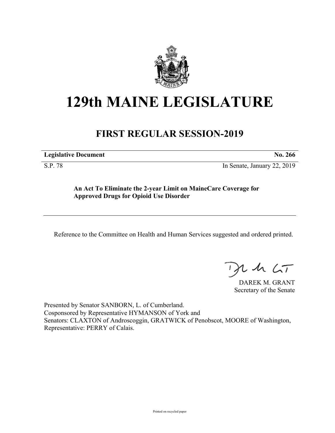

## **129th MAINE LEGISLATURE**

## **FIRST REGULAR SESSION-2019**

| <b>Legislative Document</b> | No. 266 |
|-----------------------------|---------|
|                             |         |

S.P. 78 In Senate, January 22, 2019

**An Act To Eliminate the 2-year Limit on MaineCare Coverage for Approved Drugs for Opioid Use Disorder**

Reference to the Committee on Health and Human Services suggested and ordered printed.

 $125$ 

DAREK M. GRANT Secretary of the Senate

Presented by Senator SANBORN, L. of Cumberland. Cosponsored by Representative HYMANSON of York and Senators: CLAXTON of Androscoggin, GRATWICK of Penobscot, MOORE of Washington, Representative: PERRY of Calais.